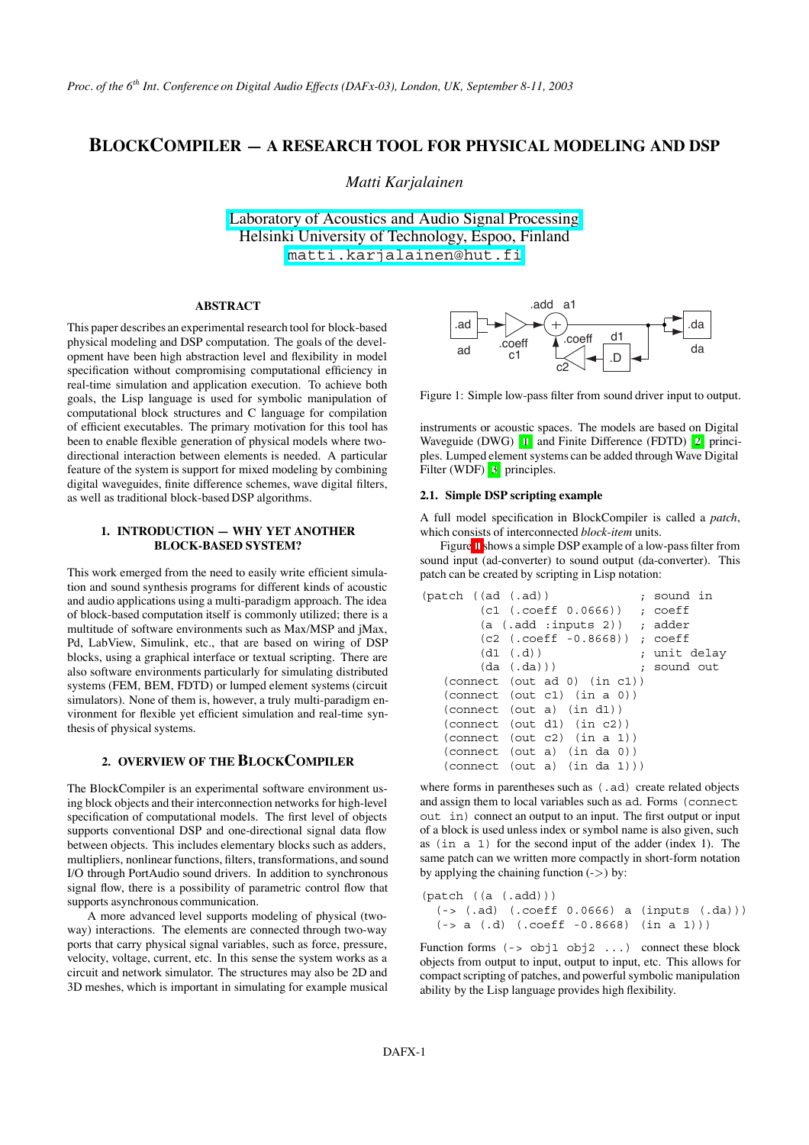# **BLOCKCOMPILER — A RESEARCH TOOL FOR PHYSICAL MODELING AND DSP**

*Matti Karjalainen*

[Laboratory of Acoustics and Audio Signal Processing](http://www.acoustics.hut.fi) Helsinki University of Technology, Espoo, Finland [matti.karjalainen@hut.fi](mailto:matti.karjalainen@hut.fi)

# **ABSTRACT**

This paper describes an experimental research tool for block-based physical modeling and DSP computation. The goals of the development have been high abstraction level and flexibility in model specification without compromising computational efficiency in real-time simulation and application execution. To achieve both goals, the Lisp language is used for symbolic manipulation of computational block structures and C language for compilation of efficient executables. The primary motivation for this tool has been to enable flexible generation of physical models where twodirectional interaction between elements is needed. A particular feature of the system is support for mixed modeling by combining digital waveguides, finite difference schemes, wave digital filters, as well as traditional block-based DSP algorithms.

# **1. INTRODUCTION — WHY YET ANOTHER BLOCK-BASED SYSTEM?**

This work emerged from the need to easily write efficient simulation and sound synthesis programs for different kinds of acoustic and audio applications using a multi-paradigm approach. The idea of block-based computation itself is commonly utilized; there is a multitude of software environments such as Max/MSP and jMax, Pd, LabView, Simulink, etc., that are based on wiring of DSP blocks, using a graphical interface or textual scripting. There are also software environments particularly for simulating distributed systems (FEM, BEM, FDTD) or lumped element systems (circuit simulators). None of them is, however, a truly multi-paradigm environment for flexible yet efficient simulation and real-time synthesis of physical systems.

# **2. OVERVIEW OF THE BLOCKCOMPILER**

The BlockCompiler is an experimental software environment using block objects and their interconnection networks for high-level specification of computational models. The first level of objects supports conventional DSP and one-directional signal data flow between objects. This includes elementary blocks such as adders, multipliers, nonlinear functions, filters, transformations, and sound I/O through PortAudio sound drivers. In addition to synchronous signal flow, there is a possibility of parametric control flow that supports asynchronous communication.

A more advanced level supports modeling of physical (twoway) interactions. The elements are connected through two-way ports that carry physical signal variables, such as force, pressure, velocity, voltage, current, etc. In this sense the system works as a circuit and network simulator. The structures may also be 2D and 3D meshes, which is important in simulating for example musical



<span id="page-0-0"></span>Figure 1: Simple low-pass filter from sound driver input to output.

instruments or acoustic spaces. The models are based on Digital Waveguide (DWG) [\[1\]](#page-5-0) and Finite Difference (FDTD) [\[2\]](#page-5-1) principles. Lumped element systems can be added through Wave Digital Filter (WDF) [\[3\]](#page-5-2) principles.

#### **2.1. Simple DSP scripting example**

A full model specification in BlockCompiler is called a *patch*, which consists of interconnected *block-item* units.

Figure [1](#page-0-0) shows a simple DSP example of a low-pass filter from sound input (ad-converter) to sound output (da-converter). This patch can be created by scripting in Lisp notation:

| (path ((ad (.ad)) |                                     |   | ; sound in  |
|-------------------|-------------------------------------|---|-------------|
|                   | (c1 (.coeff 0.0666))                |   | ; coeff     |
|                   | $(a \cdot add : inputs 2))$ ; adder |   |             |
|                   | $(c2$ (.coeff $-0.8668)$ ); coeff   |   |             |
|                   | (d1 (d))                            | ÷ | unit delay  |
|                   | (da (da))                           |   | ; sound out |
|                   | (connect (out ad 0) (in c1))        |   |             |
|                   | (connect (out c1) (in a 0))         |   |             |
|                   | (connect (out a) (in d1))           |   |             |
|                   | (connect (out d1) (in c2))          |   |             |
|                   | (connect (out c2) (in a 1))         |   |             |
|                   | (connect (out a) (in da 0))         |   |             |
|                   | (connect (out a) (in da 1)))        |   |             |

where forms in parentheses such as  $(.ad)$  create related objects and assign them to local variables such as ad. Forms (connect out in) connect an output to an input. The first output or input of a block is used unless index or symbol name is also given, such as (in a 1) for the second input of the adder (index 1). The same patch can we written more compactly in short-form notation by applying the chaining function  $(\rightarrow)$  by:

```
(patch ((a (.add)))
 (-> (.ad) (.coeff 0.0666) a (inputs (.da)))
  (-> a (.d) (.coeff -0.8668) (in a 1)))
```
Function forms  $(-\infty)$  obj1 obj2 ...) connect these block objects from output to input, output to input, etc. This allows for compact scripting of patches, and powerful symbolic manipulation ability by the Lisp language provides high flexibility.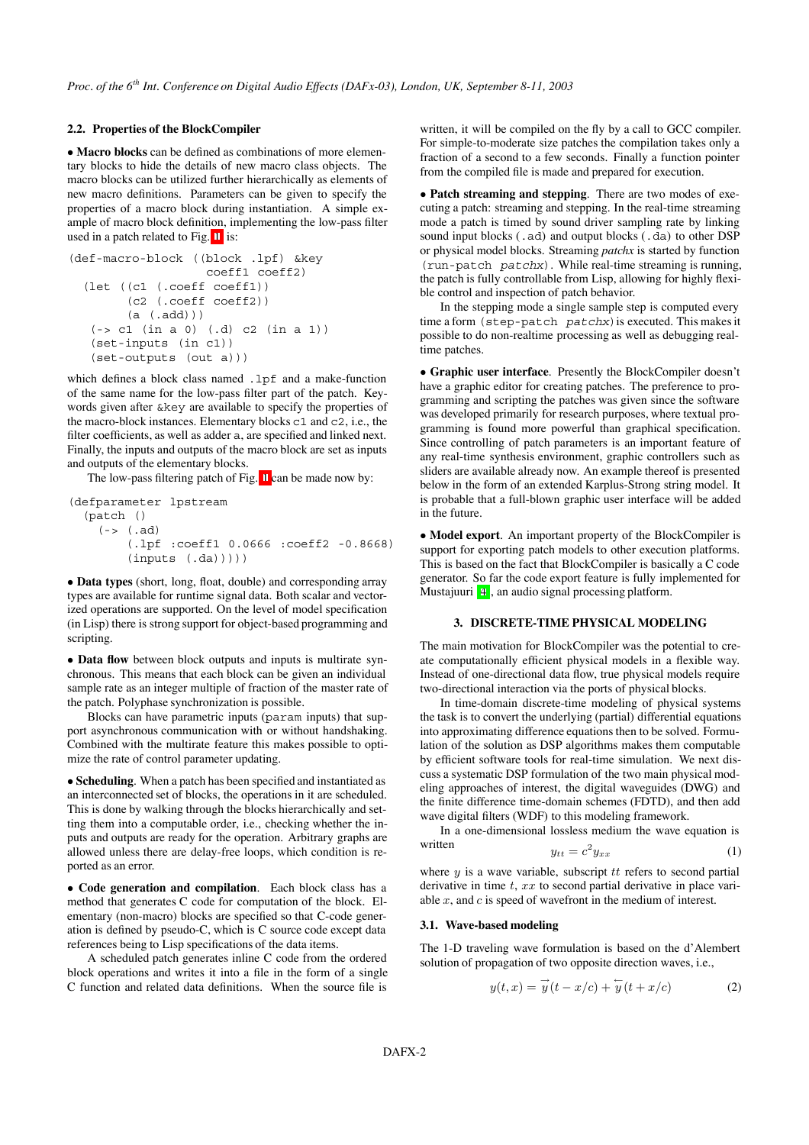# **2.2. Properties of the BlockCompiler**

• **Macro blocks** can be defined as combinations of more elementary blocks to hide the details of new macro class objects. The macro blocks can be utilized further hierarchically as elements of new macro definitions. Parameters can be given to specify the properties of a macro block during instantiation. A simple example of macro block definition, implementing the low-pass filter used in a patch related to Fig. [1,](#page-0-0) is:

```
(def-macro-block ((block .lpf) &key
                   coeff1 coeff2)
  (let ((c1 (.coeff coeff1))
        (c2 (.coeff coeff2))
        (a (.add)))
   (-> c1 (in a 0) (.d) c2 (in a 1))
   (set-inputs (in c1))
   (set-outputs (out a)))
```
which defines a block class named .lpf and a make-function of the same name for the low-pass filter part of the patch. Keywords given after &key are available to specify the properties of the macro-block instances. Elementary blocks c1 and c2, i.e., the filter coefficients, as well as adder a, are specified and linked next. Finally, the inputs and outputs of the macro block are set as inputs and outputs of the elementary blocks.

The low-pass filtering patch of Fig. [1](#page-0-0) can be made now by:

(defparameter lpstream (patch () (-> (.ad) (.lpf :coeff1 0.0666 :coeff2 -0.8668) (inputs (.da)))))

• **Data types** (short, long, float, double) and corresponding array types are available for runtime signal data. Both scalar and vectorized operations are supported. On the level of model specification (in Lisp) there is strong support for object-based programming and scripting.

• **Data flow** between block outputs and inputs is multirate synchronous. This means that each block can be given an individual sample rate as an integer multiple of fraction of the master rate of the patch. Polyphase synchronization is possible.

Blocks can have parametric inputs (param inputs) that support asynchronous communication with or without handshaking. Combined with the multirate feature this makes possible to optimize the rate of control parameter updating.

• **Scheduling**. When a patch has been specified and instantiated as an interconnected set of blocks, the operations in it are scheduled. This is done by walking through the blocks hierarchically and setting them into a computable order, i.e., checking whether the inputs and outputs are ready for the operation. Arbitrary graphs are allowed unless there are delay-free loops, which condition is reported as an error.

• **Code generation and compilation**. Each block class has a method that generates C code for computation of the block. Elementary (non-macro) blocks are specified so that C-code generation is defined by pseudo-C, which is C source code except data references being to Lisp specifications of the data items.

A scheduled patch generates inline C code from the ordered block operations and writes it into a file in the form of a single C function and related data definitions. When the source file is written, it will be compiled on the fly by a call to GCC compiler. For simple-to-moderate size patches the compilation takes only a fraction of a second to a few seconds. Finally a function pointer from the compiled file is made and prepared for execution.

• **Patch streaming and stepping**. There are two modes of executing a patch: streaming and stepping. In the real-time streaming mode a patch is timed by sound driver sampling rate by linking sound input blocks (.ad) and output blocks (.da) to other DSP or physical model blocks. Streaming *patchx* is started by function (run-patch patchx). While real-time streaming is running, the patch is fully controllable from Lisp, allowing for highly flexible control and inspection of patch behavior.

In the stepping mode a single sample step is computed every time a form (step-patch patchx) is executed. This makes it possible to do non-realtime processing as well as debugging realtime patches.

• **Graphic user interface**. Presently the BlockCompiler doesn't have a graphic editor for creating patches. The preference to programming and scripting the patches was given since the software was developed primarily for research purposes, where textual programming is found more powerful than graphical specification. Since controlling of patch parameters is an important feature of any real-time synthesis environment, graphic controllers such as sliders are available already now. An example thereof is presented below in the form of an extended Karplus-Strong string model. It is probable that a full-blown graphic user interface will be added in the future.

• **Model export**. An important property of the BlockCompiler is support for exporting patch models to other execution platforms. This is based on the fact that BlockCompiler is basically a C code generator. So far the code export feature is fully implemented for Mustajuuri [\[4\]](#page-5-3), an audio signal processing platform.

## **3. DISCRETE-TIME PHYSICAL MODELING**

The main motivation for BlockCompiler was the potential to create computationally efficient physical models in a flexible way. Instead of one-directional data flow, true physical models require two-directional interaction via the ports of physical blocks.

In time-domain discrete-time modeling of physical systems the task is to convert the underlying (partial) differential equations into approximating difference equations then to be solved. Formulation of the solution as DSP algorithms makes them computable by efficient software tools for real-time simulation. We next discuss a systematic DSP formulation of the two main physical modeling approaches of interest, the digital waveguides (DWG) and the finite difference time-domain schemes (FDTD), and then add wave digital filters (WDF) to this modeling framework.

<span id="page-1-1"></span>In a one-dimensional lossless medium the wave equation is written 2

$$
y_{tt} = c^2 y_{xx} \tag{1}
$$

where  $y$  is a wave variable, subscript  $tt$  refers to second partial derivative in time  $t$ ,  $xx$  to second partial derivative in place variable  $x$ , and  $c$  is speed of wavefront in the medium of interest.

#### **3.1. Wave-based modeling**

The 1-D traveling wave formulation is based on the d'Alembert solution of propagation of two opposite direction waves, i.e.,

<span id="page-1-0"></span>
$$
y(t,x) = \overrightarrow{y}(t-x/c) + \overleftarrow{y}(t+x/c)
$$
 (2)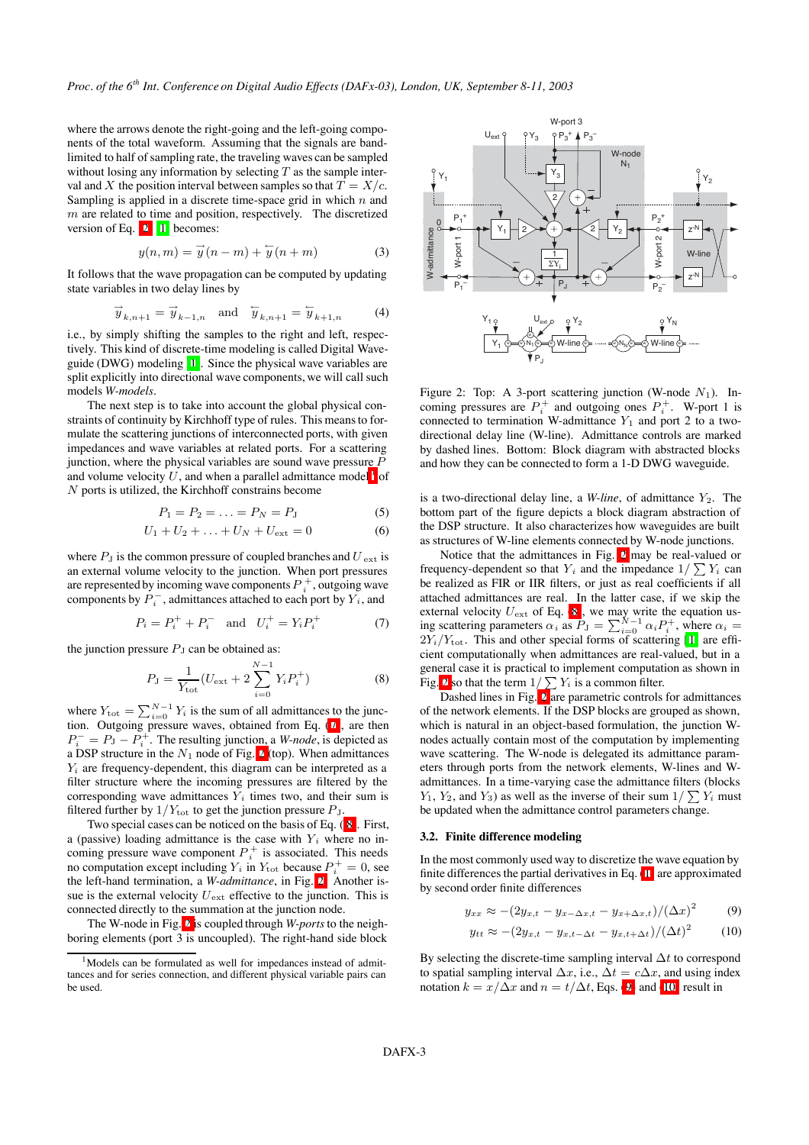where the arrows denote the right-going and the left-going components of the total waveform. Assuming that the signals are bandlimited to half of sampling rate, the traveling waves can be sampled without losing any information by selecting  $T$  as the sample interval and X the position interval between samples so that  $T = X/c$ . Sampling is applied in a discrete time-space grid in which  $n$  and  $m$  are related to time and position, respectively. The discretized version of Eq. [\(2\)](#page-1-0) [\[1\]](#page-5-0) becomes:

$$
y(n,m) = \vec{y}(n-m) + \overleftarrow{y}(n+m)
$$
 (3)

It follows that the wave propagation can be computed by updating state variables in two delay lines by

$$
\overrightarrow{y}_{k,n+1} = \overrightarrow{y}_{k-1,n} \quad \text{and} \quad \overleftarrow{y}_{k,n+1} = \overleftarrow{y}_{k+1,n} \tag{4}
$$

i.e., by simply shifting the samples to the right and left, respectively. This kind of discrete-time modeling is called Digital Waveguide (DWG) modeling [\[1\]](#page-5-0). Since the physical wave variables are split explicitly into directional wave components, we will call such models *W-models*.

The next step is to take into account the global physical constraints of continuity by Kirchhoff type of rules. This means to formulate the scattering junctions of interconnected ports, with given impedances and wave variables at related ports. For a scattering junction, where the physical variables are sound wave pressure  $$ and volume velocity  $U$ , and when a parallel admittance model  $\frac{1}{1}$  $\frac{1}{1}$  $\frac{1}{1}$  of N ports is utilized, the Kirchhoff constrains become

$$
P_1 = P_2 = \ldots = P_N = P_J \tag{5}
$$

$$
U_1 + U_2 + \ldots + U_N + U_{\text{ext}} = 0 \tag{6}
$$

where  $P_J$  is the common pressure of coupled branches and  $U_{ext}$  is an external volume velocity to the junction. When port pressures are represented by incoming wave components  $P_i^+$ , outgoing wave components by  $P_i^-$ , admittances attached to each port by  $Y_i$ , and

$$
P_i = P_i^+ + P_i^- \text{ and } U_i^+ = Y_i P_i^+ \tag{7}
$$

the junction pressure  $P<sub>J</sub>$  can be obtained as:

<span id="page-2-3"></span>
$$
P_{\rm J} = \frac{1}{Y_{\rm tot}} (U_{\rm ext} + 2 \sum_{i=0}^{N-1} Y_i P_i^+)
$$
 (8)

where  $Y_{\text{tot}} = \sum_{i=0}^{N-1} Y_i$  is the sum of all admittances to the junction. Outgoing pressure waves, obtained from Eq. [\(7\)](#page-2-1), are then  $P_i^- = P_J - P_i^+$ . The resulting junction, a *W-node*, is depicted as a DSP structure in the  $N_1$  node of Fig. [2](#page-2-2) (top). When admittances  $Y_i$  are frequency-dependent, this diagram can be interpreted as a filter structure where the incoming pressures are filtered by the corresponding wave admittances  $Y_i$  times two, and their sum is filtered further by  $1/Y_{\text{tot}}$  to get the junction pressure  $P_J$ .

Two special cases can be noticed on the basis of Eq. ( [8\)](#page-2-3). First, a (passive) loading admittance is the case with  $Y_i$  where no incoming pressure wave component  $P_i^+$  is associated. This needs no computation except including  $Y_i$  in  $Y_{\text{tot}}$  because  $P_i^+ = 0$ , see the left-hand termination, a *W-admittance*, in Fig. [2.](#page-2-2) Another issue is the external velocity  $U_{\text{ext}}$  effective to the junction. This is connected directly to the summation at the junction node.

The W-node in Fig. [2](#page-2-2) is coupled through *W-ports*to the neighboring elements (port 3 is uncoupled). The right-hand side block



<span id="page-2-2"></span>Figure 2: Top: A 3-port scattering junction (W-node  $N_1$ ). Incoming pressures are  $P_i^+$  and outgoing ones  $P_i^+$ . W-port 1 is connected to termination W-admittance  $Y_1$  and port 2 to a twodirectional delay line (W-line). Admittance controls are marked by dashed lines. Bottom: Block diagram with abstracted blocks and how they can be connected to form a 1-D DWG waveguide.

is a two-directional delay line, a *W-line*, of admittance  $Y_2$ . The bottom part of the figure depicts a block diagram abstraction of the DSP structure. It also characterizes how waveguides are built as structures of W-line elements connected by W-node junctions.

<span id="page-2-1"></span>Notice that the admittances in Fig. [2](#page-2-2) may be real-valued or frequency-dependent so that  $Y_i$  and the impedance  $1/\sum Y_i$  can be realized as FIR or IIR filters, or just as real coefficients if all attached admittances are real. In the latter case, if we skip the external velocity  $U_{\text{ext}}$  of Eq. [\(8\)](#page-2-3), we may write the equation using scattering parameters  $\alpha_i$  as  $P_J = \sum_{i=0}^{N-1} \alpha_i P_i^+$ , where  $\alpha_i =$  $2Y_i/Y_{\text{tot}}$ . This and other special forms of scattering [[1\]](#page-5-0) are efficient computationally when admittances are real-valued, but in a general case it is practical to implement computation as shown in Fig. [2](#page-2-2) so that the term  $1/\sum Y_i$  is a common filter.

Dashed lines in Fig. [2](#page-2-2) are parametric controls for admittances of the network elements. If the DSP blocks are grouped as shown, which is natural in an object-based formulation, the junction Wnodes actually contain most of the computation by implementing wave scattering. The W-node is delegated its admittance parameters through ports from the network elements, W-lines and Wadmittances. In a time-varying case the admittance filters (blocks  $Y_1, Y_2$ , and  $Y_3$ ) as well as the inverse of their sum  $1/\sum Y_i$  must be updated when the admittance control parameters change.

#### **3.2. Finite difference modeling**

In the most commonly used way to discretize the wave equation by finite differences the partial derivatives in Eq. [\(1\)](#page-1-1) are approximated by second order finite differences

$$
y_{xx} \approx -(2y_{x,t} - y_{x-\Delta x,t} - y_{x+\Delta x,t})/(\Delta x)^2 \tag{9}
$$

<span id="page-2-6"></span><span id="page-2-5"></span><span id="page-2-4"></span>
$$
y_{tt} \approx -(2y_{x,t} - y_{x,t-\Delta t} - y_{x,t+\Delta t})/(\Delta t)^2 \tag{10}
$$

By selecting the discrete-time sampling interval  $\Delta t$  to correspond to spatial sampling interval  $\Delta x$ , i.e.,  $\Delta t = c \Delta x$ , and using index notation  $k = x/\Delta x$  and  $n = t/\Delta t$ , Eqs. [\(9\)](#page-2-4) and [\(10\)](#page-2-5) result in

<span id="page-2-0"></span><sup>&</sup>lt;sup>1</sup>Models can be formulated as well for impedances instead of admittances and for series connection, and different physical variable pairs can be used.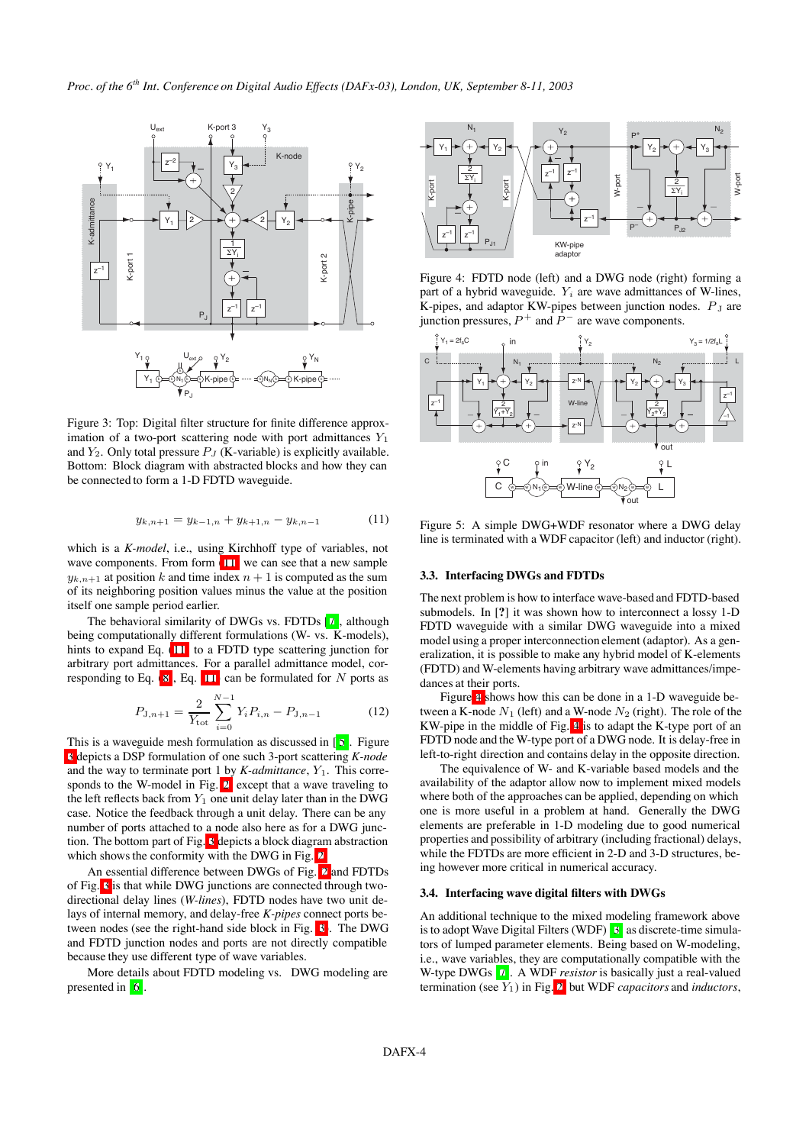

<span id="page-3-0"></span>Figure 3: Top: Digital filter structure for finite difference approximation of a two-port scattering node with port admittances  $Y_1$ and  $Y_2$ . Only total pressure  $P_J$  (K-variable) is explicitly available. Bottom: Block diagram with abstracted blocks and how they can be connected to form a 1-D FDTD waveguide.

$$
y_{k,n+1} = y_{k-1,n} + y_{k+1,n} - y_{k,n-1}
$$
 (11)

which is a *K-model*, i.e., using Kirchhoff type of variables, not wave components. From form  $(11)$  we can see that a new sample  $y_{k,n+1}$  at position k and time index  $n+1$  is computed as the sum of its neighboring position values minus the value at the position itself one sample period earlier.

The behavioral similarity of DWGs vs. FDTDs [\[7\]](#page-5-4), although being computationally different formulations (W- vs. K-models), hints to expand Eq. [\(11\)](#page-2-6) to a FDTD type scattering junction for arbitrary port admittances. For a parallel admittance model, corresponding to Eq.  $(8)$ , Eq.  $(11)$  can be formulated for N ports as

$$
P_{\mathbf{J},n+1} = \frac{2}{Y_{\text{tot}}} \sum_{i=0}^{N-1} Y_i P_{i,n} - P_{\mathbf{J},n-1} \tag{12}
$$

This is a waveguide mesh formulation as discussed in [ [5\]](#page-5-5). Figure [3](#page-3-0) depicts a DSP formulation of one such 3-port scattering *K-node* and the way to terminate port 1 by  $K$ -*admittance*,  $Y_1$ . This corresponds to the W-model in Fig. [2,](#page-2-2) except that a wave traveling to the left reflects back from  $Y_1$  one unit delay later than in the DWG case. Notice the feedback through a unit delay. There can be any number of ports attached to a node also here as for a DWG junction. The bottom part of Fig. [3](#page-3-0) depicts a block diagram abstraction which shows the conformity with the DWG in Fig. [2.](#page-2-2)

An essential difference between DWGs of Fig. [2](#page-2-2) and FDTDs of Fig. [3](#page-3-0) is that while DWG junctions are connected through twodirectional delay lines (*W-lines*), FDTD nodes have two unit delays of internal memory, and delay-free *K-pipes* connect ports between nodes (see the right-hand side block in Fig. [3\)](#page-3-0). The DWG and FDTD junction nodes and ports are not directly compatible because they use different type of wave variables.

More details about FDTD modeling vs. DWG modeling are presented in [\[6\]](#page-5-6).



<span id="page-3-1"></span>Figure 4: FDTD node (left) and a DWG node (right) forming a part of a hybrid waveguide.  $Y_i$  are wave admittances of W-lines, K-pipes, and adaptor KW-pipes between junction nodes.  $P_J$  are junction pressures,  $P^+$  and  $P^-$  are wave components.



<span id="page-3-2"></span>Figure 5: A simple DWG+WDF resonator where a DWG delay line is terminated with a WDF capacitor (left) and inductor (right).

## **3.3. Interfacing DWGs and FDTDs**

The next problem is how to interface wave-based and FDTD-based submodels. In [**?**] it was shown how to interconnect a lossy 1-D FDTD waveguide with a similar DWG waveguide into a mixed model using a proper interconnection element (adaptor). As a generalization, it is possible to make any hybrid model of K-elements (FDTD) and W-elements having arbitrary wave admittances/impedances at their ports.

Figure [4](#page-3-1) shows how this can be done in a 1-D waveguide between a K-node  $N_1$  (left) and a W-node  $N_2$  (right). The role of the KW-pipe in the middle of Fig. [4](#page-3-1) is to adapt the K-type port of an FDTD node and the W-type port of a DWG node. It is delay-free in left-to-right direction and contains delay in the opposite direction.

The equivalence of W- and K-variable based models and the availability of the adaptor allow now to implement mixed models where both of the approaches can be applied, depending on which one is more useful in a problem at hand. Generally the DWG elements are preferable in 1-D modeling due to good numerical properties and possibility of arbitrary (including fractional) delays, while the FDTDs are more efficient in 2-D and 3-D structures, being however more critical in numerical accuracy.

#### **3.4. Interfacing wave digital filters with DWGs**

An additional technique to the mixed modeling framework above is to adopt Wave Digital Filters (WDF) [\[3\]](#page-5-2) as discrete-time simulators of lumped parameter elements. Being based on W-modeling, i.e., wave variables, they are computationally compatible with the W-type DWGs [\[7\]](#page-5-4). A WDF *resistor* is basically just a real-valued termination (see Y1) in Fig. [2,](#page-2-2) but WDF *capacitors* and *inductors*,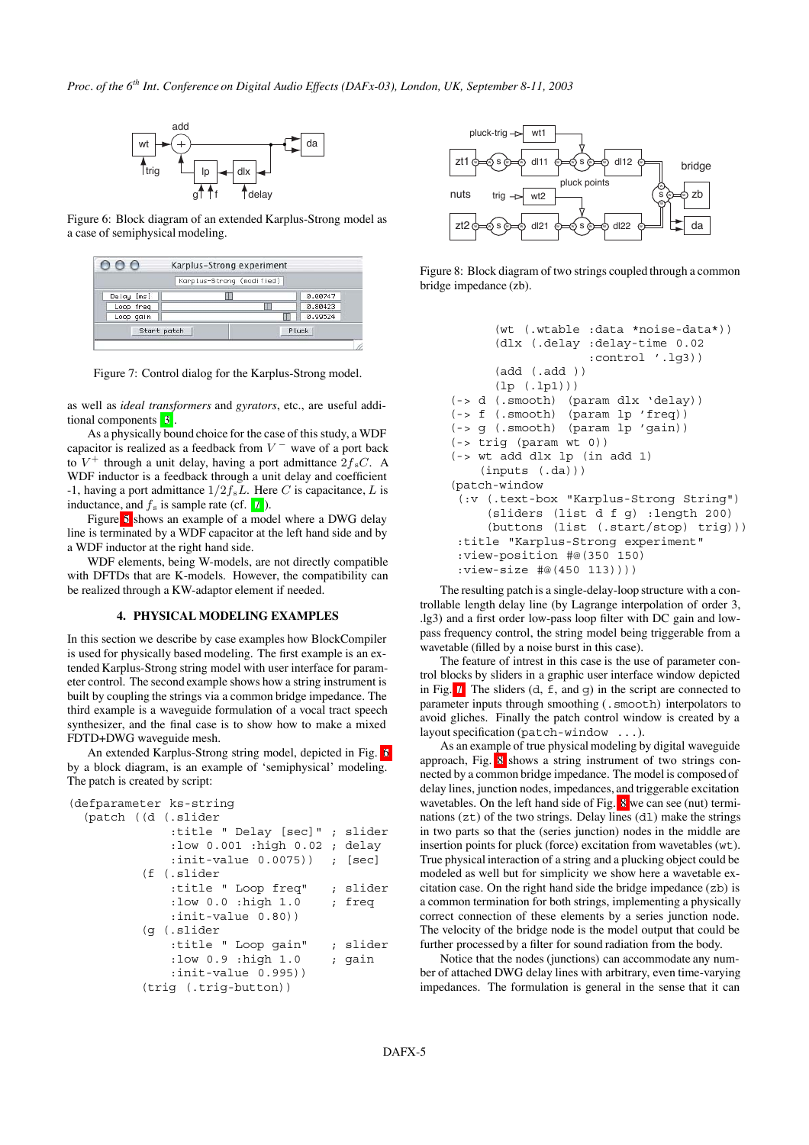

<span id="page-4-0"></span>Figure 6: Block diagram of an extended Karplus-Strong model as a case of semiphysical modeling.

|             | Karplus-Strong (modified) |         |
|-------------|---------------------------|---------|
| Delay [ms]  |                           | 0.00747 |
| Loop freq   |                           | 0.80423 |
| Loop gain   |                           | 0.99524 |
| Start patch |                           | Pluck   |

Figure 7: Control dialog for the Karplus-Strong model.

<span id="page-4-1"></span>as well as *ideal transformers* and *gyrators*, etc., are useful additional components [\[3\]](#page-5-2).

As a physically bound choice for the case of this study, a WDF capacitor is realized as a feedback from  $V^-$  wave of a port back to  $V^+$  through a unit delay, having a port admittance  $2f_sC$ . A WDF inductor is a feedback through a unit delay and coefficient -1, having a port admittance  $1/2f_sL$ . Here C is capacitance, L is inductance, and  $f_s$  is sample rate (cf. [\[7\]](#page-5-4)).

Figure [5](#page-3-2) shows an example of a model where a DWG delay line is terminated by a WDF capacitor at the left hand side and by a WDF inductor at the right hand side.

WDF elements, being W-models, are not directly compatible with DFTDs that are K-models. However, the compatibility can be realized through a KW-adaptor element if needed.

## **4. PHYSICAL MODELING EXAMPLES**

In this section we describe by case examples how BlockCompiler is used for physically based modeling. The first example is an extended Karplus-Strong string model with user interface for parameter control. The second example shows how a string instrument is built by coupling the strings via a common bridge impedance. The third example is a waveguide formulation of a vocal tract speech synthesizer, and the final case is to show how to make a mixed FDTD+DWG waveguide mesh.

An extended Karplus-Strong string model, depicted in Fig. [6](#page-4-0) by a block diagram, is an example of 'semiphysical' modeling. The patch is created by script:

```
(defparameter ks-string
  (patch ((d (.slider
              :title " Delay [sec]" ; slider
              :low 0.001 :high 0.02 ; delay
              :init-value 0.0075)) ; [sec]
          (f (.slider
              :title " Loop freq" ; slider
              :low 0.0 :high 1.0 ; freq
              :init-value 0.80))
          (g (.slider
              :title " Loop gain" ; slider
              :low 0.9 :high 1.0 ; gain
              :init-value 0.995))
          (trig (.trig-button))
```


<span id="page-4-2"></span>Figure 8: Block diagram of two strings coupled through a common bridge impedance (zb).

```
(wt (.wtable :data *noise-data*))
      (dlx (.delay :delay-time 0.02
                    :control '.lg3))
      (add (.add ))
      (lp (.lp1)))
(-> d (.smooth) (param dlx 'delay))
(-> f (.smooth) (param lp 'freq))
(-> g (.smooth) (param lp 'gain))
(-> trig (param wt 0))
(-> wt add dlx lp (in add 1)
    (inputs (.da)))
(patch-window
 (:v (.text-box "Karplus-Strong String")
     (sliders (list d f g) :length 200)
     (buttons (list (.start/stop) trig)))
 :title "Karplus-Strong experiment"
 :view-position #@(350 150)
 :view-size #@(450 113))))
```
The resulting patch is a single-delay-loop structure with a controllable length delay line (by Lagrange interpolation of order 3, .lg3) and a first order low-pass loop filter with DC gain and lowpass frequency control, the string model being triggerable from a wavetable (filled by a noise burst in this case).

The feature of intrest in this case is the use of parameter control blocks by sliders in a graphic user interface window depicted in Fig. [7.](#page-4-1) The sliders  $(d, f, and q)$  in the script are connected to parameter inputs through smoothing (.smooth) interpolators to avoid gliches. Finally the patch control window is created by a layout specification (patch-window ...).

As an example of true physical modeling by digital waveguide approach, Fig. [8](#page-4-2) shows a string instrument of two strings connected by a common bridge impedance. The model is composed of delay lines, junction nodes, impedances, and triggerable excitation wavetables. On the left hand side of Fig. [8](#page-4-2) we can see (nut) terminations  $(zt)$  of the two strings. Delay lines  $(d1)$  make the strings in two parts so that the (series junction) nodes in the middle are insertion points for pluck (force) excitation from wavetables (wt). True physical interaction of a string and a plucking object could be modeled as well but for simplicity we show here a wavetable excitation case. On the right hand side the bridge impedance (zb) is a common termination for both strings, implementing a physically correct connection of these elements by a series junction node. The velocity of the bridge node is the model output that could be further processed by a filter for sound radiation from the body.

Notice that the nodes (junctions) can accommodate any number of attached DWG delay lines with arbitrary, even time-varying impedances. The formulation is general in the sense that it can